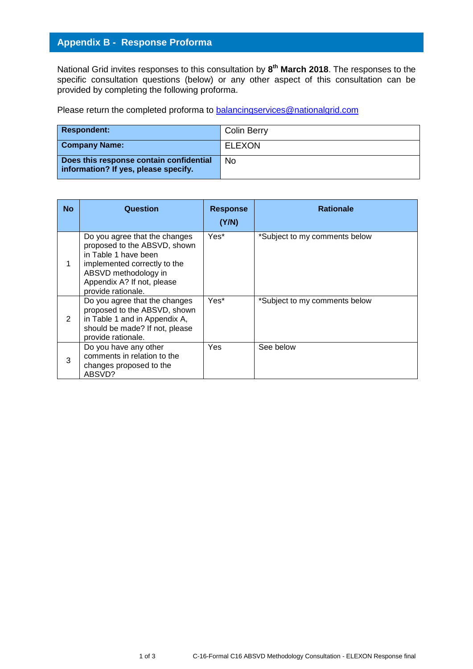## **Appendix B - Response Proforma**

National Grid invites responses to this consultation by **8 th March 2018**. The responses to the specific consultation questions (below) or any other aspect of this consultation can be provided by completing the following proforma.

Please return the completed proforma to [balancingservices@nationalgrid.com](mailto:balancingservices@nationalgrid.com)

| <b>Respondent:</b>                                                              | Colin Berry   |
|---------------------------------------------------------------------------------|---------------|
| <b>Company Name:</b>                                                            | <b>ELEXON</b> |
| Does this response contain confidential<br>information? If yes, please specify. | No.           |

| <b>No</b> | Question                                                                                                                                                                                          | <b>Response</b><br>(Y/N) | <b>Rationale</b>              |
|-----------|---------------------------------------------------------------------------------------------------------------------------------------------------------------------------------------------------|--------------------------|-------------------------------|
|           | Do you agree that the changes<br>proposed to the ABSVD, shown<br>in Table 1 have been<br>implemented correctly to the<br>ABSVD methodology in<br>Appendix A? If not, please<br>provide rationale. | Yes*                     | *Subject to my comments below |
| 2         | Do you agree that the changes<br>proposed to the ABSVD, shown<br>in Table 1 and in Appendix A,<br>should be made? If not, please<br>provide rationale.                                            | Yes*                     | *Subject to my comments below |
| 3         | Do you have any other<br>comments in relation to the<br>changes proposed to the<br>ABSVD?                                                                                                         | Yes                      | See below                     |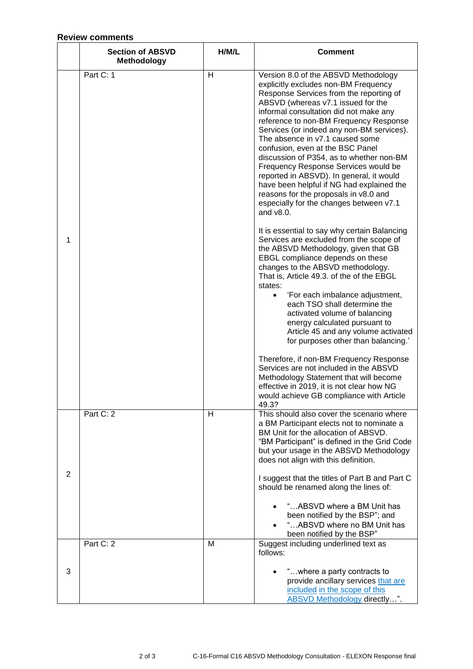## **Review comments**

|   | <b>Section of ABSVD</b><br><b>Methodology</b> | H/M/L | <b>Comment</b>                                                                                                                                                                                                                                                                                                                                                                                                                                                                                                                                                                                                                                                                                                                                                                                                                                                                                                                                                                                                                                                                                                                                                                                                                     |
|---|-----------------------------------------------|-------|------------------------------------------------------------------------------------------------------------------------------------------------------------------------------------------------------------------------------------------------------------------------------------------------------------------------------------------------------------------------------------------------------------------------------------------------------------------------------------------------------------------------------------------------------------------------------------------------------------------------------------------------------------------------------------------------------------------------------------------------------------------------------------------------------------------------------------------------------------------------------------------------------------------------------------------------------------------------------------------------------------------------------------------------------------------------------------------------------------------------------------------------------------------------------------------------------------------------------------|
| 1 | Part C: 1                                     | H     | Version 8.0 of the ABSVD Methodology<br>explicitly excludes non-BM Frequency<br>Response Services from the reporting of<br>ABSVD (whereas v7.1 issued for the<br>informal consultation did not make any<br>reference to non-BM Frequency Response<br>Services (or indeed any non-BM services).<br>The absence in v7.1 caused some<br>confusion, even at the BSC Panel<br>discussion of P354, as to whether non-BM<br>Frequency Response Services would be<br>reported in ABSVD). In general, it would<br>have been helpful if NG had explained the<br>reasons for the proposals in v8.0 and<br>especially for the changes between v7.1<br>and $v8.0$ .<br>It is essential to say why certain Balancing<br>Services are excluded from the scope of<br>the ABSVD Methodology, given that GB<br>EBGL compliance depends on these<br>changes to the ABSVD methodology.<br>That is, Article 49.3. of the of the EBGL<br>states:<br>'For each imbalance adjustment,<br>each TSO shall determine the<br>activated volume of balancing<br>energy calculated pursuant to<br>Article 45 and any volume activated<br>for purposes other than balancing.'<br>Therefore, if non-BM Frequency Response<br>Services are not included in the ABSVD |
|   |                                               |       | Methodology Statement that will become<br>effective in 2019, it is not clear how NG<br>would achieve GB compliance with Article<br>49.3?                                                                                                                                                                                                                                                                                                                                                                                                                                                                                                                                                                                                                                                                                                                                                                                                                                                                                                                                                                                                                                                                                           |
| 2 | Part C: 2                                     | H     | This should also cover the scenario where<br>a BM Participant elects not to nominate a<br>BM Unit for the allocation of ABSVD.<br>"BM Participant" is defined in the Grid Code<br>but your usage in the ABSVD Methodology<br>does not align with this definition.<br>I suggest that the titles of Part B and Part C                                                                                                                                                                                                                                                                                                                                                                                                                                                                                                                                                                                                                                                                                                                                                                                                                                                                                                                |
|   |                                               |       | should be renamed along the lines of:<br>"ABSVD where a BM Unit has<br>been notified by the BSP"; and<br>"ABSVD where no BM Unit has<br>been notified by the BSP"                                                                                                                                                                                                                                                                                                                                                                                                                                                                                                                                                                                                                                                                                                                                                                                                                                                                                                                                                                                                                                                                  |
| 3 | Part C: 2                                     | M     | Suggest including underlined text as<br>follows:<br>"where a party contracts to<br>provide ancillary services that are<br>included in the scope of this<br>ABSVD Methodology directly".                                                                                                                                                                                                                                                                                                                                                                                                                                                                                                                                                                                                                                                                                                                                                                                                                                                                                                                                                                                                                                            |